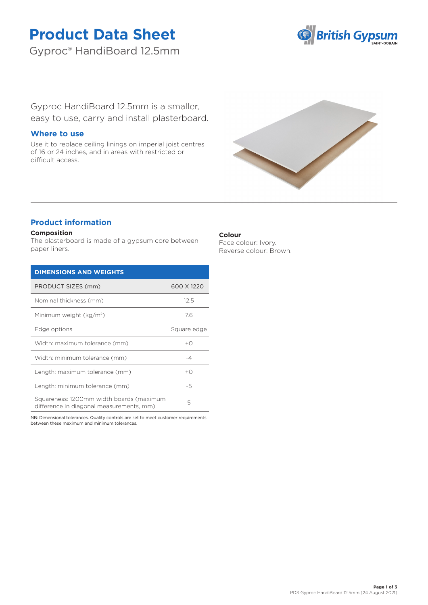# **Product Data Sheet**

Gyproc® HandiBoard 12.5mm



Gyproc HandiBoard 12.5mm is a smaller, easy to use, carry and install plasterboard.

## **Where to use**

Use it to replace ceiling linings on imperial joist centres of 16 or 24 inches, and in areas with restricted or difficult access.



# **Product information**

## **Composition**

The plasterboard is made of a gypsum core between paper liners.

| <b>DIMENSIONS AND WEIGHTS</b>                                                        |                |
|--------------------------------------------------------------------------------------|----------------|
| PRODUCT SIZES (mm)                                                                   | 600 X 1220     |
| Nominal thickness (mm)                                                               | 12.5           |
| Minimum weight (kg/m <sup>2</sup> )                                                  | 7.6            |
| Edge options                                                                         | Square edge    |
| Width: maximum tolerance (mm)                                                        | $+$ $\bigcirc$ |
| Width: minimum tolerance (mm)                                                        | $-4$           |
| Length: maximum tolerance (mm)                                                       | $+$ $\bigcirc$ |
| Length: minimum tolerance (mm)                                                       | -5             |
| Squareness: 1200mm width boards (maximum<br>difference in diagonal measurements, mm) | 5              |

NB: Dimensional tolerances. Quality controls are set to meet customer requirements between these maximum and minimum tolerances.

## **Colour**

Face colour: Ivory. Reverse colour: Brown.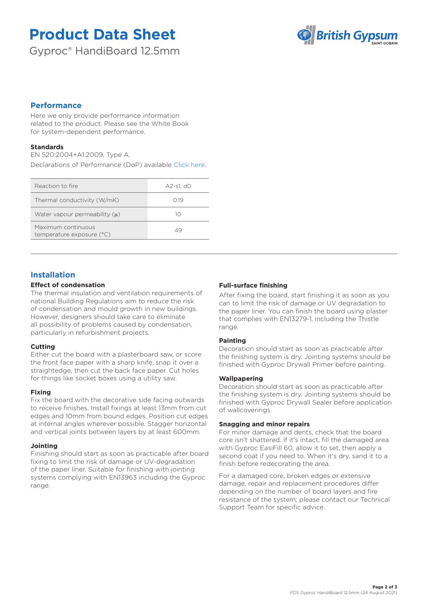# **Product Data Sheet**

Gyproc® HandiBoard 12.5mm



# **Performance**

Here we only provide performance information related to the product. Please see the White Book for system-dependent performance.

## **Standards**

EN 520:2004+A1:2009, Type A.

Declarations of Performance (DoP) available [Click here.](https://www.british-gypsum.com/DoP)

| Reaction to fire                                | A2-s1. d0 |
|-------------------------------------------------|-----------|
| Thermal conductivity (W/mK)                     | O 19      |
| Water vapour permeability $(u)$                 | 10        |
| Maximum continuous<br>temperature exposure (°C) | 49        |

## **Installation**

## **Effect of condensation**

The thermal insulation and ventilation requirements of national Building Regulations aim to reduce the risk of condensation and mould growth in new buildings. However, designers should take care to eliminate all possibility of problems caused by condensation, particularly in refurbishment projects.

### **Cutting**

Either cut the board with a plasterboard saw, or score the front face paper with a sharp knife, snap it over a straightedge, then cut the back face paper. Cut holes for things like socket boxes using a utility saw.

### **Fixing**

Fix the board with the decorative side facing outwards to receive finishes. Install fixings at least 13mm from cut edges and 10mm from bound edges. Position cut edges at internal angles wherever possible. Stagger horizontal and vertical joints between layers by at least 600mm.

### **Jointing**

Finishing should start as soon as practicable after board fixing to limit the risk of damage or UV-degradation of the paper liner. Suitable for finishing with jointing systems complying with EN13963 including the Gyproc range.

### **Full-surface finishing**

After fixing the board, start finishing it as soon as you can to limit the risk of damage or UV degradation to the paper liner. You can finish the board using plaster that complies with EN13279-1, including the Thistle range.

### **Painting**

Decoration should start as soon as practicable after the finishing system is dry. Jointing systems should be finished with Gyproc Drywall Primer before painting.

#### **Wallpapering**

Decoration should start as soon as practicable after the finishing system is dry. Jointing systems should be finished with Gyproc Drywall Sealer before application of wallcoverings.

#### **Snagging and minor repairs**

For minor damage and dents, check that the board core isn't shattered. If it's intact, fill the damaged area with Gyproc EasiFill 60, allow it to set, then apply a second coat if you need to. When it's dry, sand it to a finish before redecorating the area.

For a damaged core, broken edges or extensive damage, repair and replacement procedures differ depending on the number of board layers and fire resistance of the system; please contact our Technical Support Team for specific advice.